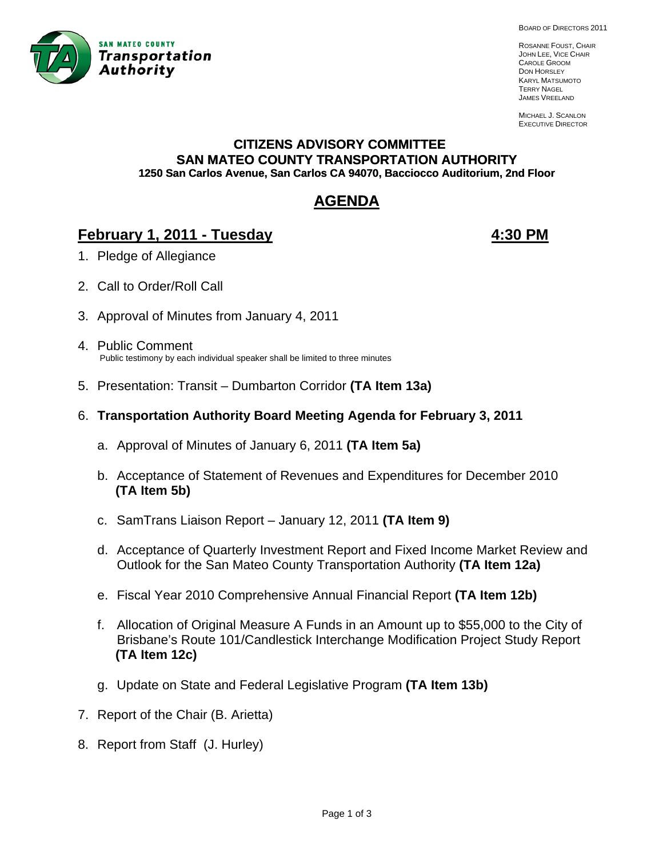

BOARD OF DIRECTORS 2011

ROSANNE FOUST, CHAIR JOHN LEE, VICE CHAIR CAROLE GROOM DON HORSLEY KARYL MATSUMOTO TERRY NAGEL JAMES VREELAND

MICHAEL J. SCANLON EXECUTIVE DIRECTOR

#### **CITIZENS ADVISORY COMMITTEE SAN MATEO COUNTY TRANSPORTATION AUTHORITY 1250 San Carlos Avenue, San Carlos CA 94070, Bacciocco Auditorium, 2nd Floor**

# **AGENDA**

# **February 1, 2011 - Tuesday 1.4:30 PM**

- 1. Pledge of Allegiance
- 2. Call to Order/Roll Call
- 3. Approval of Minutes from January 4, 2011
- 4. Public Comment Public testimony by each individual speaker shall be limited to three minutes
- 5. Presentation: Transit Dumbarton Corridor **(TA Item 13a)**
- 6. **Transportation Authority Board Meeting Agenda for February 3, 2011**
	- a. Approval of Minutes of January 6, 2011 **(TA Item 5a)**
	- b. Acceptance of Statement of Revenues and Expenditures for December 2010  **(TA Item 5b)**
	- c. SamTrans Liaison Report January 12, 2011 **(TA Item 9)**
	- d. Acceptance of Quarterly Investment Report and Fixed Income Market Review and Outlook for the San Mateo County Transportation Authority **(TA Item 12a)**
	- e. Fiscal Year 2010 Comprehensive Annual Financial Report **(TA Item 12b)**
	- f. Allocation of Original Measure A Funds in an Amount up to \$55,000 to the City of Brisbane's Route 101/Candlestick Interchange Modification Project Study Report  **(TA Item 12c)**
	- g. Update on State and Federal Legislative Program **(TA Item 13b)**
- 7. Report of the Chair (B. Arietta)
- 8. Report from Staff (J. Hurley)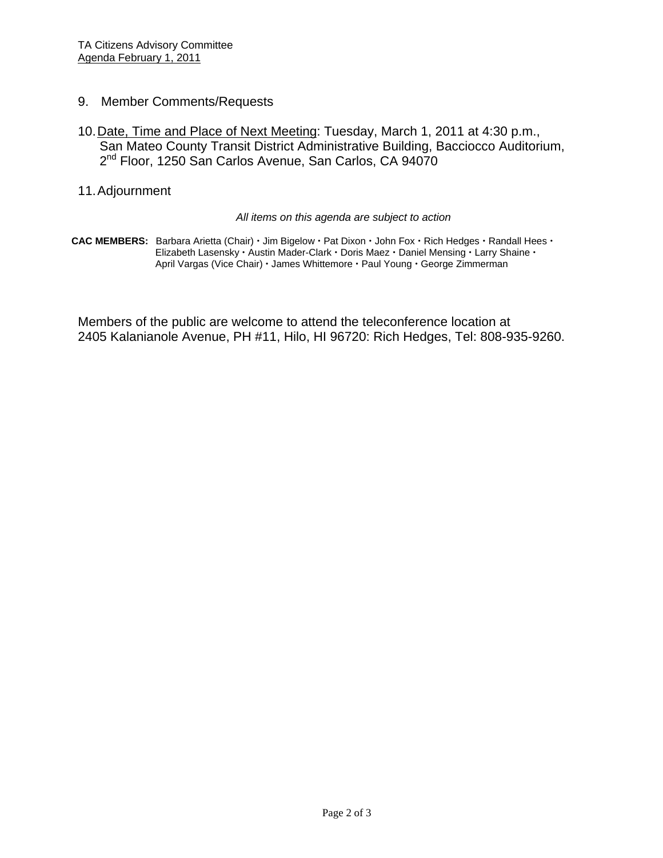- 9. Member Comments/Requests
- 10. Date, Time and Place of Next Meeting: Tuesday, March 1, 2011 at 4:30 p.m., San Mateo County Transit District Administrative Building, Bacciocco Auditorium, 2<sup>nd</sup> Floor, 1250 San Carlos Avenue, San Carlos, CA 94070
- 11. Adjournment

#### *All items on this agenda are subject to action*

CAC MEMBERS: Barbara Arietta (Chair) · Jim Bigelow · Pat Dixon · John Fox · Rich Hedges · Randall Hees · Elizabeth Lasensky · Austin Mader-Clark · Doris Maez · Daniel Mensing · Larry Shaine · April Vargas (Vice Chair) · James Whittemore · Paul Young · George Zimmerman

Members of the public are welcome to attend the teleconference location at 2405 Kalanianole Avenue, PH #11, Hilo, HI 96720: Rich Hedges, Tel: 808-935-9260.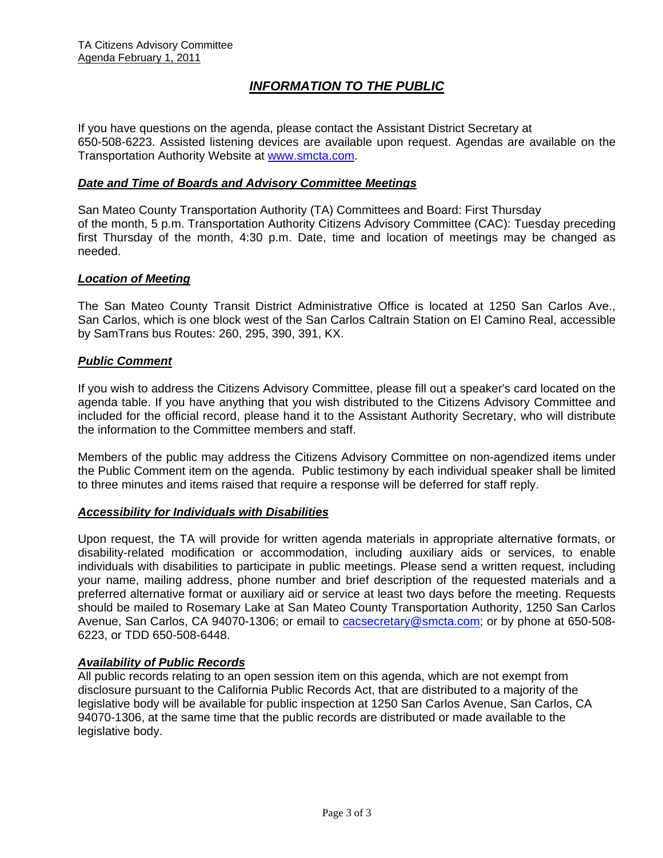# *INFORMATION TO THE PUBLIC*

If you have questions on the agenda, please contact the Assistant District Secretary at 650-508-6223. Assisted listening devices are available upon request. Agendas are available on the Transportation Authority Website at [www.smcta.com.](http://www.smcta.com/)

#### *Date and Time of Boards and Advisory Committee Meetings*

San Mateo County Transportation Authority (TA) Committees and Board: First Thursday of the month, 5 p.m. Transportation Authority Citizens Advisory Committee (CAC): Tuesday preceding first Thursday of the month, 4:30 p.m. Date, time and location of meetings may be changed as needed.

#### *Location of Meeting*

The San Mateo County Transit District Administrative Office is located at 1250 San Carlos Ave., San Carlos, which is one block west of the San Carlos Caltrain Station on El Camino Real, accessible by SamTrans bus Routes: 260, 295, 390, 391, KX.

#### *Public Comment*

If you wish to address the Citizens Advisory Committee, please fill out a speaker's card located on the agenda table. If you have anything that you wish distributed to the Citizens Advisory Committee and included for the official record, please hand it to the Assistant Authority Secretary, who will distribute the information to the Committee members and staff.

Members of the public may address the Citizens Advisory Committee on non-agendized items under the Public Comment item on the agenda. Public testimony by each individual speaker shall be limited to three minutes and items raised that require a response will be deferred for staff reply.

#### *Accessibility for Individuals with Disabilities*

Upon request, the TA will provide for written agenda materials in appropriate alternative formats, or disability-related modification or accommodation, including auxiliary aids or services, to enable individuals with disabilities to participate in public meetings. Please send a written request, including your name, mailing address, phone number and brief description of the requested materials and a preferred alternative format or auxiliary aid or service at least two days before the meeting. Requests should be mailed to Rosemary Lake at San Mateo County Transportation Authority, 1250 San Carlos Avenue, San Carlos, CA 94070-1306; or email to [cacsecretary@smcta.com](mailto:cacsecretary@smcta.com); or by phone at 650-508-6223, or TDD 650-508-6448.

#### *Availability of Public Records*

All public records relating to an open session item on this agenda, which are not exempt from disclosure pursuant to the California Public Records Act, that are distributed to a majority of the legislative body will be available for public inspection at 1250 San Carlos Avenue, San Carlos, CA 94070-1306, at the same time that the public records are distributed or made available to the legislative body.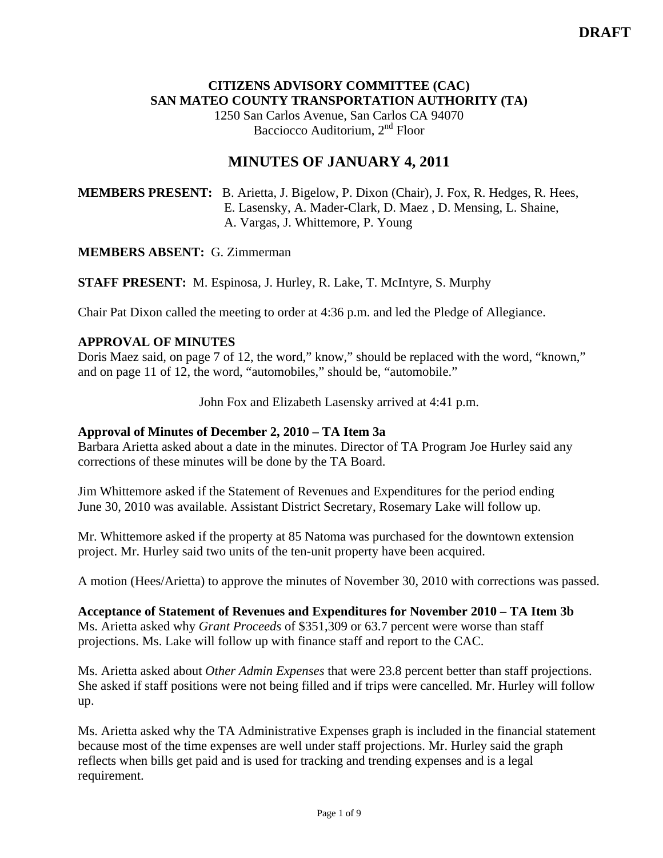## **CITIZENS ADVISORY COMMITTEE (CAC) SAN MATEO COUNTY TRANSPORTATION AUTHORITY (TA)**

1250 San Carlos Avenue, San Carlos CA 94070 Bacciocco Auditorium, 2<sup>nd</sup> Floor

# **MINUTES OF JANUARY 4, 2011**

**MEMBERS PRESENT:** B. Arietta, J. Bigelow, P. Dixon (Chair), J. Fox, R. Hedges, R. Hees, E. Lasensky, A. Mader-Clark, D. Maez , D. Mensing, L. Shaine, A. Vargas, J. Whittemore, P. Young

#### **MEMBERS ABSENT:** G. Zimmerman

**STAFF PRESENT:** M. Espinosa, J. Hurley, R. Lake, T. McIntyre, S. Murphy

Chair Pat Dixon called the meeting to order at 4:36 p.m. and led the Pledge of Allegiance.

#### **APPROVAL OF MINUTES**

Doris Maez said, on page 7 of 12, the word," know," should be replaced with the word, "known," and on page 11 of 12, the word, "automobiles," should be, "automobile."

John Fox and Elizabeth Lasensky arrived at 4:41 p.m.

#### **Approval of Minutes of December 2, 2010 – TA Item 3a**

Barbara Arietta asked about a date in the minutes. Director of TA Program Joe Hurley said any corrections of these minutes will be done by the TA Board.

Jim Whittemore asked if the Statement of Revenues and Expenditures for the period ending June 30, 2010 was available. Assistant District Secretary, Rosemary Lake will follow up.

Mr. Whittemore asked if the property at 85 Natoma was purchased for the downtown extension project. Mr. Hurley said two units of the ten-unit property have been acquired.

A motion (Hees/Arietta) to approve the minutes of November 30, 2010 with corrections was passed.

**Acceptance of Statement of Revenues and Expenditures for November 2010 – TA Item 3b**  Ms. Arietta asked why *Grant Proceeds* of \$351,309 or 63.7 percent were worse than staff projections. Ms. Lake will follow up with finance staff and report to the CAC.

Ms. Arietta asked about *Other Admin Expenses* that were 23.8 percent better than staff projections. She asked if staff positions were not being filled and if trips were cancelled. Mr. Hurley will follow up.

Ms. Arietta asked why the TA Administrative Expenses graph is included in the financial statement because most of the time expenses are well under staff projections. Mr. Hurley said the graph reflects when bills get paid and is used for tracking and trending expenses and is a legal requirement.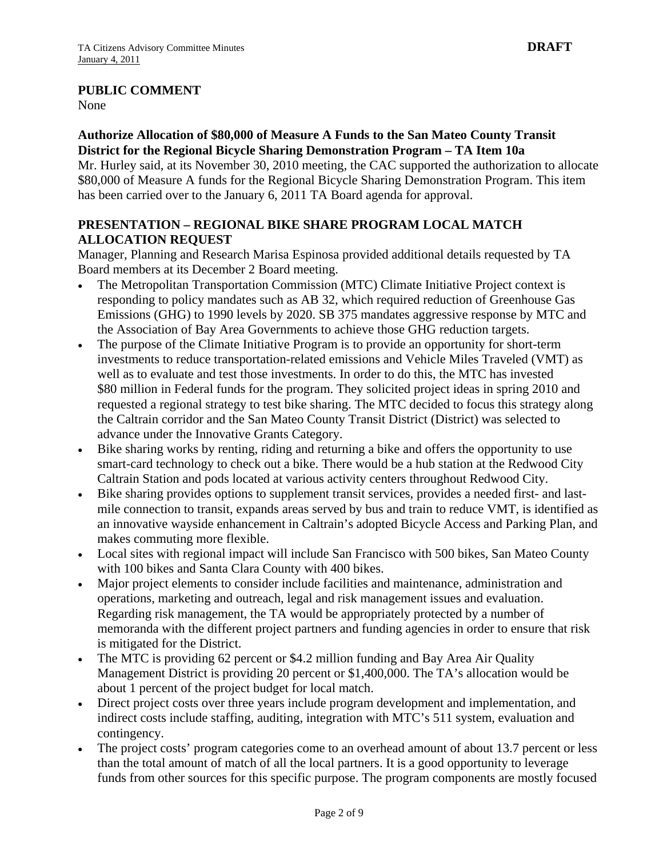### **PUBLIC COMMENT**

None

#### **Authorize Allocation of \$80,000 of Measure A Funds to the San Mateo County Transit District for the Regional Bicycle Sharing Demonstration Program – TA Item 10a**

Mr. Hurley said, at its November 30, 2010 meeting, the CAC supported the authorization to allocate \$80,000 of Measure A funds for the Regional Bicycle Sharing Demonstration Program. This item has been carried over to the January 6, 2011 TA Board agenda for approval.

# **PRESENTATION – REGIONAL BIKE SHARE PROGRAM LOCAL MATCH ALLOCATION REQUEST**

Manager, Planning and Research Marisa Espinosa provided additional details requested by TA Board members at its December 2 Board meeting.

- The Metropolitan Transportation Commission (MTC) Climate Initiative Project context is responding to policy mandates such as AB 32, which required reduction of Greenhouse Gas Emissions (GHG) to 1990 levels by 2020. SB 375 mandates aggressive response by MTC and the Association of Bay Area Governments to achieve those GHG reduction targets.
- The purpose of the Climate Initiative Program is to provide an opportunity for short-term investments to reduce transportation-related emissions and Vehicle Miles Traveled (VMT) as well as to evaluate and test those investments. In order to do this, the MTC has invested \$80 million in Federal funds for the program. They solicited project ideas in spring 2010 and requested a regional strategy to test bike sharing. The MTC decided to focus this strategy along the Caltrain corridor and the San Mateo County Transit District (District) was selected to advance under the Innovative Grants Category.
- Bike sharing works by renting, riding and returning a bike and offers the opportunity to use smart-card technology to check out a bike. There would be a hub station at the Redwood City Caltrain Station and pods located at various activity centers throughout Redwood City.
- Bike sharing provides options to supplement transit services, provides a needed first- and lastmile connection to transit, expands areas served by bus and train to reduce VMT, is identified as an innovative wayside enhancement in Caltrain's adopted Bicycle Access and Parking Plan, and makes commuting more flexible.
- Local sites with regional impact will include San Francisco with 500 bikes, San Mateo County with 100 bikes and Santa Clara County with 400 bikes.
- Major project elements to consider include facilities and maintenance, administration and operations, marketing and outreach, legal and risk management issues and evaluation. Regarding risk management, the TA would be appropriately protected by a number of memoranda with the different project partners and funding agencies in order to ensure that risk is mitigated for the District.
- The MTC is providing 62 percent or \$4.2 million funding and Bay Area Air Quality Management District is providing 20 percent or \$1,400,000. The TA's allocation would be about 1 percent of the project budget for local match.
- Direct project costs over three years include program development and implementation, and indirect costs include staffing, auditing, integration with MTC's 511 system, evaluation and contingency.
- The project costs' program categories come to an overhead amount of about 13.7 percent or less than the total amount of match of all the local partners. It is a good opportunity to leverage funds from other sources for this specific purpose. The program components are mostly focused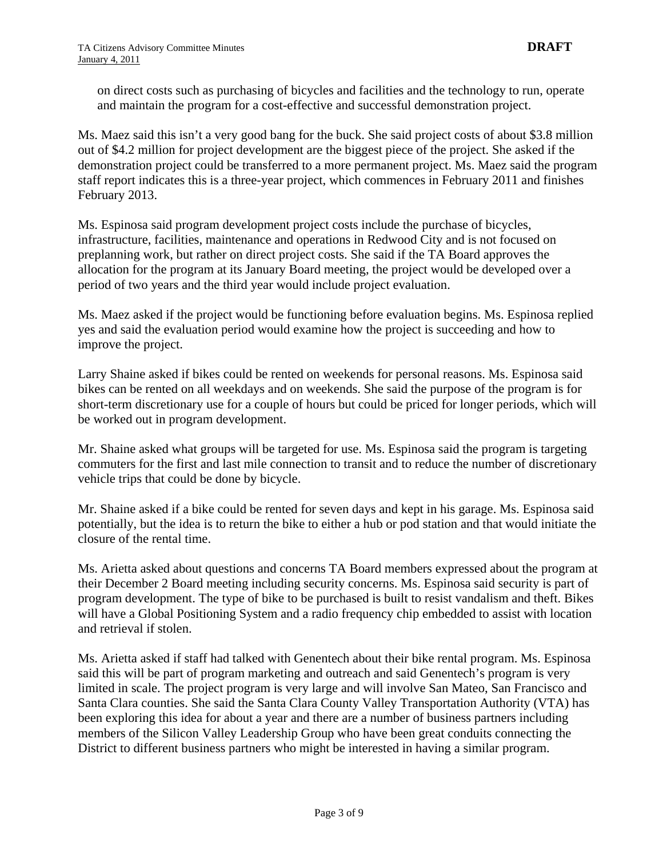on direct costs such as purchasing of bicycles and facilities and the technology to run, operate and maintain the program for a cost-effective and successful demonstration project.

Ms. Maez said this isn't a very good bang for the buck. She said project costs of about \$3.8 million out of \$4.2 million for project development are the biggest piece of the project. She asked if the demonstration project could be transferred to a more permanent project. Ms. Maez said the program staff report indicates this is a three-year project, which commences in February 2011 and finishes February 2013.

Ms. Espinosa said program development project costs include the purchase of bicycles, infrastructure, facilities, maintenance and operations in Redwood City and is not focused on preplanning work, but rather on direct project costs. She said if the TA Board approves the allocation for the program at its January Board meeting, the project would be developed over a period of two years and the third year would include project evaluation.

Ms. Maez asked if the project would be functioning before evaluation begins. Ms. Espinosa replied yes and said the evaluation period would examine how the project is succeeding and how to improve the project.

Larry Shaine asked if bikes could be rented on weekends for personal reasons. Ms. Espinosa said bikes can be rented on all weekdays and on weekends. She said the purpose of the program is for short-term discretionary use for a couple of hours but could be priced for longer periods, which will be worked out in program development.

Mr. Shaine asked what groups will be targeted for use. Ms. Espinosa said the program is targeting commuters for the first and last mile connection to transit and to reduce the number of discretionary vehicle trips that could be done by bicycle.

Mr. Shaine asked if a bike could be rented for seven days and kept in his garage. Ms. Espinosa said potentially, but the idea is to return the bike to either a hub or pod station and that would initiate the closure of the rental time.

Ms. Arietta asked about questions and concerns TA Board members expressed about the program at their December 2 Board meeting including security concerns. Ms. Espinosa said security is part of program development. The type of bike to be purchased is built to resist vandalism and theft. Bikes will have a Global Positioning System and a radio frequency chip embedded to assist with location and retrieval if stolen.

Ms. Arietta asked if staff had talked with Genentech about their bike rental program. Ms. Espinosa said this will be part of program marketing and outreach and said Genentech's program is very limited in scale. The project program is very large and will involve San Mateo, San Francisco and Santa Clara counties. She said the Santa Clara County Valley Transportation Authority (VTA) has been exploring this idea for about a year and there are a number of business partners including members of the Silicon Valley Leadership Group who have been great conduits connecting the District to different business partners who might be interested in having a similar program.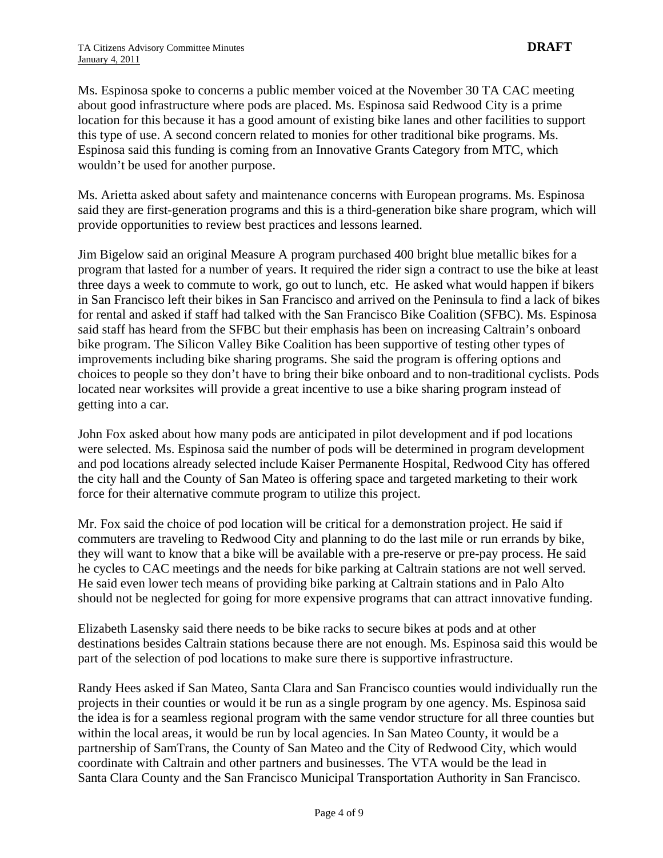Ms. Espinosa spoke to concerns a public member voiced at the November 30 TA CAC meeting about good infrastructure where pods are placed. Ms. Espinosa said Redwood City is a prime location for this because it has a good amount of existing bike lanes and other facilities to support this type of use. A second concern related to monies for other traditional bike programs. Ms. Espinosa said this funding is coming from an Innovative Grants Category from MTC, which wouldn't be used for another purpose.

Ms. Arietta asked about safety and maintenance concerns with European programs. Ms. Espinosa said they are first-generation programs and this is a third-generation bike share program, which will provide opportunities to review best practices and lessons learned.

Jim Bigelow said an original Measure A program purchased 400 bright blue metallic bikes for a program that lasted for a number of years. It required the rider sign a contract to use the bike at least three days a week to commute to work, go out to lunch, etc. He asked what would happen if bikers in San Francisco left their bikes in San Francisco and arrived on the Peninsula to find a lack of bikes for rental and asked if staff had talked with the San Francisco Bike Coalition (SFBC). Ms. Espinosa said staff has heard from the SFBC but their emphasis has been on increasing Caltrain's onboard bike program. The Silicon Valley Bike Coalition has been supportive of testing other types of improvements including bike sharing programs. She said the program is offering options and choices to people so they don't have to bring their bike onboard and to non-traditional cyclists. Pods located near worksites will provide a great incentive to use a bike sharing program instead of getting into a car.

John Fox asked about how many pods are anticipated in pilot development and if pod locations were selected. Ms. Espinosa said the number of pods will be determined in program development and pod locations already selected include Kaiser Permanente Hospital, Redwood City has offered the city hall and the County of San Mateo is offering space and targeted marketing to their work force for their alternative commute program to utilize this project.

Mr. Fox said the choice of pod location will be critical for a demonstration project. He said if commuters are traveling to Redwood City and planning to do the last mile or run errands by bike, they will want to know that a bike will be available with a pre-reserve or pre-pay process. He said he cycles to CAC meetings and the needs for bike parking at Caltrain stations are not well served. He said even lower tech means of providing bike parking at Caltrain stations and in Palo Alto should not be neglected for going for more expensive programs that can attract innovative funding.

Elizabeth Lasensky said there needs to be bike racks to secure bikes at pods and at other destinations besides Caltrain stations because there are not enough. Ms. Espinosa said this would be part of the selection of pod locations to make sure there is supportive infrastructure.

Randy Hees asked if San Mateo, Santa Clara and San Francisco counties would individually run the projects in their counties or would it be run as a single program by one agency. Ms. Espinosa said the idea is for a seamless regional program with the same vendor structure for all three counties but within the local areas, it would be run by local agencies. In San Mateo County, it would be a partnership of SamTrans, the County of San Mateo and the City of Redwood City, which would coordinate with Caltrain and other partners and businesses. The VTA would be the lead in Santa Clara County and the San Francisco Municipal Transportation Authority in San Francisco.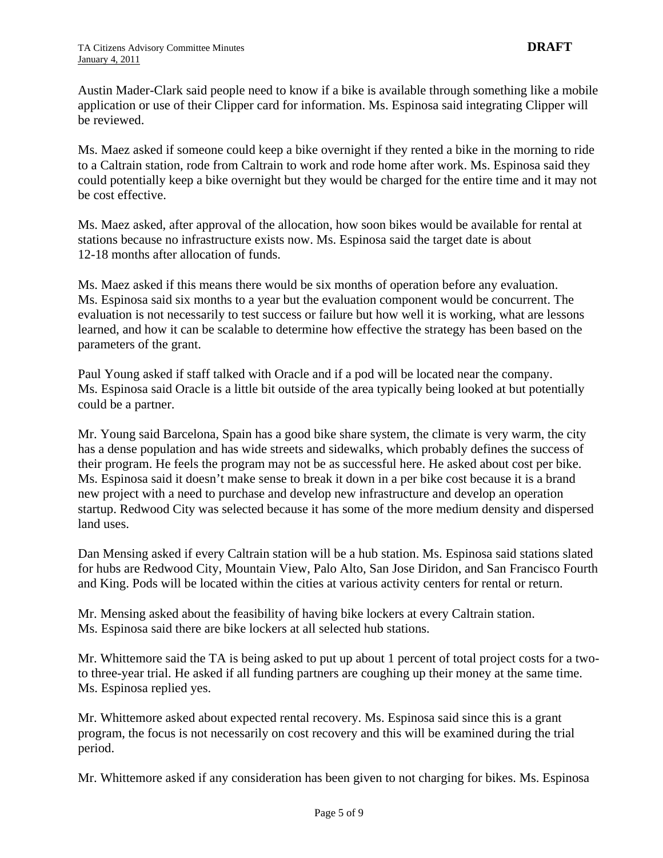Austin Mader-Clark said people need to know if a bike is available through something like a mobile application or use of their Clipper card for information. Ms. Espinosa said integrating Clipper will be reviewed.

Ms. Maez asked if someone could keep a bike overnight if they rented a bike in the morning to ride to a Caltrain station, rode from Caltrain to work and rode home after work. Ms. Espinosa said they could potentially keep a bike overnight but they would be charged for the entire time and it may not be cost effective.

Ms. Maez asked, after approval of the allocation, how soon bikes would be available for rental at stations because no infrastructure exists now. Ms. Espinosa said the target date is about 12-18 months after allocation of funds.

Ms. Maez asked if this means there would be six months of operation before any evaluation. Ms. Espinosa said six months to a year but the evaluation component would be concurrent. The evaluation is not necessarily to test success or failure but how well it is working, what are lessons learned, and how it can be scalable to determine how effective the strategy has been based on the parameters of the grant.

Paul Young asked if staff talked with Oracle and if a pod will be located near the company. Ms. Espinosa said Oracle is a little bit outside of the area typically being looked at but potentially could be a partner.

Mr. Young said Barcelona, Spain has a good bike share system, the climate is very warm, the city has a dense population and has wide streets and sidewalks, which probably defines the success of their program. He feels the program may not be as successful here. He asked about cost per bike. Ms. Espinosa said it doesn't make sense to break it down in a per bike cost because it is a brand new project with a need to purchase and develop new infrastructure and develop an operation startup. Redwood City was selected because it has some of the more medium density and dispersed land uses.

Dan Mensing asked if every Caltrain station will be a hub station. Ms. Espinosa said stations slated for hubs are Redwood City, Mountain View, Palo Alto, San Jose Diridon, and San Francisco Fourth and King. Pods will be located within the cities at various activity centers for rental or return.

Mr. Mensing asked about the feasibility of having bike lockers at every Caltrain station. Ms. Espinosa said there are bike lockers at all selected hub stations.

Mr. Whittemore said the TA is being asked to put up about 1 percent of total project costs for a twoto three-year trial. He asked if all funding partners are coughing up their money at the same time. Ms. Espinosa replied yes.

Mr. Whittemore asked about expected rental recovery. Ms. Espinosa said since this is a grant program, the focus is not necessarily on cost recovery and this will be examined during the trial period.

Mr. Whittemore asked if any consideration has been given to not charging for bikes. Ms. Espinosa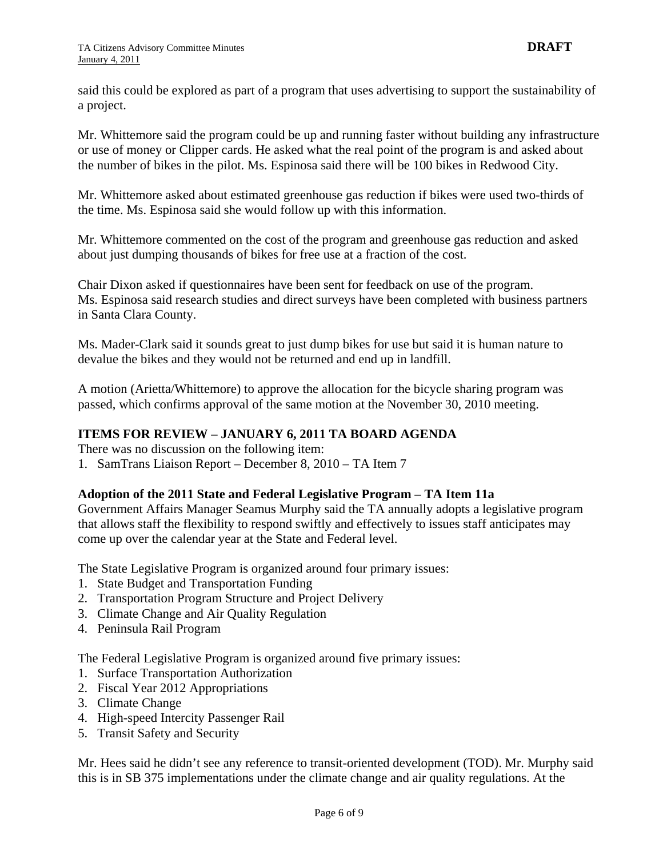said this could be explored as part of a program that uses advertising to support the sustainability of a project.

Mr. Whittemore said the program could be up and running faster without building any infrastructure or use of money or Clipper cards. He asked what the real point of the program is and asked about the number of bikes in the pilot. Ms. Espinosa said there will be 100 bikes in Redwood City.

Mr. Whittemore asked about estimated greenhouse gas reduction if bikes were used two-thirds of the time. Ms. Espinosa said she would follow up with this information.

Mr. Whittemore commented on the cost of the program and greenhouse gas reduction and asked about just dumping thousands of bikes for free use at a fraction of the cost.

Chair Dixon asked if questionnaires have been sent for feedback on use of the program. Ms. Espinosa said research studies and direct surveys have been completed with business partners in Santa Clara County.

Ms. Mader-Clark said it sounds great to just dump bikes for use but said it is human nature to devalue the bikes and they would not be returned and end up in landfill.

A motion (Arietta/Whittemore) to approve the allocation for the bicycle sharing program was passed, which confirms approval of the same motion at the November 30, 2010 meeting.

# **ITEMS FOR REVIEW – JANUARY 6, 2011 TA BOARD AGENDA**

There was no discussion on the following item:

1. SamTrans Liaison Report – December 8, 2010 – TA Item 7

#### **Adoption of the 2011 State and Federal Legislative Program – TA Item 11a**

Government Affairs Manager Seamus Murphy said the TA annually adopts a legislative program that allows staff the flexibility to respond swiftly and effectively to issues staff anticipates may come up over the calendar year at the State and Federal level.

The State Legislative Program is organized around four primary issues:

- 1. State Budget and Transportation Funding
- 2. Transportation Program Structure and Project Delivery
- 3. Climate Change and Air Quality Regulation
- 4. Peninsula Rail Program

The Federal Legislative Program is organized around five primary issues:

- 1. Surface Transportation Authorization
- 2. Fiscal Year 2012 Appropriations
- 3. Climate Change
- 4. High-speed Intercity Passenger Rail
- 5. Transit Safety and Security

Mr. Hees said he didn't see any reference to transit-oriented development (TOD). Mr. Murphy said this is in SB 375 implementations under the climate change and air quality regulations. At the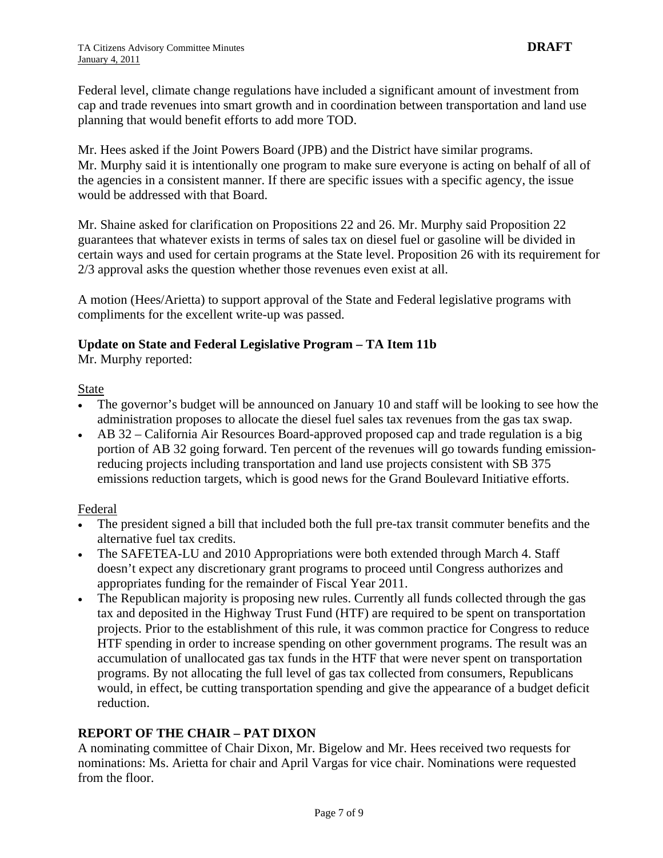Federal level, climate change regulations have included a significant amount of investment from cap and trade revenues into smart growth and in coordination between transportation and land use planning that would benefit efforts to add more TOD.

Mr. Hees asked if the Joint Powers Board (JPB) and the District have similar programs. Mr. Murphy said it is intentionally one program to make sure everyone is acting on behalf of all of the agencies in a consistent manner. If there are specific issues with a specific agency, the issue would be addressed with that Board.

Mr. Shaine asked for clarification on Propositions 22 and 26. Mr. Murphy said Proposition 22 guarantees that whatever exists in terms of sales tax on diesel fuel or gasoline will be divided in certain ways and used for certain programs at the State level. Proposition 26 with its requirement for 2/3 approval asks the question whether those revenues even exist at all.

A motion (Hees/Arietta) to support approval of the State and Federal legislative programs with compliments for the excellent write-up was passed.

### **Update on State and Federal Legislative Program – TA Item 11b**

Mr. Murphy reported:

#### State

- The governor's budget will be announced on January 10 and staff will be looking to see how the administration proposes to allocate the diesel fuel sales tax revenues from the gas tax swap.
- AB 32 California Air Resources Board-approved proposed cap and trade regulation is a big portion of AB 32 going forward. Ten percent of the revenues will go towards funding emissionreducing projects including transportation and land use projects consistent with SB 375 emissions reduction targets, which is good news for the Grand Boulevard Initiative efforts.

#### Federal

- The president signed a bill that included both the full pre-tax transit commuter benefits and the alternative fuel tax credits.
- The SAFETEA-LU and 2010 Appropriations were both extended through March 4. Staff doesn't expect any discretionary grant programs to proceed until Congress authorizes and appropriates funding for the remainder of Fiscal Year 2011.
- The Republican majority is proposing new rules. Currently all funds collected through the gas tax and deposited in the Highway Trust Fund (HTF) are required to be spent on transportation projects. Prior to the establishment of this rule, it was common practice for Congress to reduce HTF spending in order to increase spending on other government programs. The result was an accumulation of unallocated gas tax funds in the HTF that were never spent on transportation programs. By not allocating the full level of gas tax collected from consumers, Republicans would, in effect, be cutting transportation spending and give the appearance of a budget deficit reduction.

# **REPORT OF THE CHAIR – PAT DIXON**

A nominating committee of Chair Dixon, Mr. Bigelow and Mr. Hees received two requests for nominations: Ms. Arietta for chair and April Vargas for vice chair. Nominations were requested from the floor.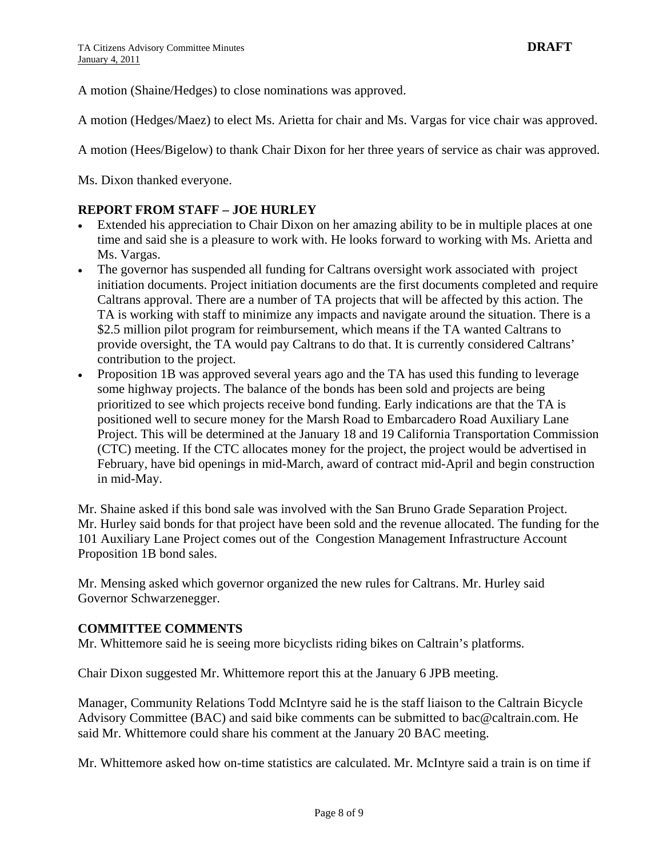A motion (Shaine/Hedges) to close nominations was approved.

A motion (Hedges/Maez) to elect Ms. Arietta for chair and Ms. Vargas for vice chair was approved.

A motion (Hees/Bigelow) to thank Chair Dixon for her three years of service as chair was approved.

Ms. Dixon thanked everyone.

#### **REPORT FROM STAFF – JOE HURLEY**

- Extended his appreciation to Chair Dixon on her amazing ability to be in multiple places at one time and said she is a pleasure to work with. He looks forward to working with Ms. Arietta and Ms. Vargas.
- The governor has suspended all funding for Caltrans oversight work associated with project initiation documents. Project initiation documents are the first documents completed and require Caltrans approval. There are a number of TA projects that will be affected by this action. The TA is working with staff to minimize any impacts and navigate around the situation. There is a \$2.5 million pilot program for reimbursement, which means if the TA wanted Caltrans to provide oversight, the TA would pay Caltrans to do that. It is currently considered Caltrans' contribution to the project.
- Proposition 1B was approved several years ago and the TA has used this funding to leverage some highway projects. The balance of the bonds has been sold and projects are being prioritized to see which projects receive bond funding. Early indications are that the TA is positioned well to secure money for the Marsh Road to Embarcadero Road Auxiliary Lane Project. This will be determined at the January 18 and 19 California Transportation Commission (CTC) meeting. If the CTC allocates money for the project, the project would be advertised in February, have bid openings in mid-March, award of contract mid-April and begin construction in mid-May.

Mr. Shaine asked if this bond sale was involved with the San Bruno Grade Separation Project. Mr. Hurley said bonds for that project have been sold and the revenue allocated. The funding for the 101 Auxiliary Lane Project comes out of the Congestion Management Infrastructure Account Proposition 1B bond sales.

Mr. Mensing asked which governor organized the new rules for Caltrans. Mr. Hurley said Governor Schwarzenegger.

#### **COMMITTEE COMMENTS**

Mr. Whittemore said he is seeing more bicyclists riding bikes on Caltrain's platforms.

Chair Dixon suggested Mr. Whittemore report this at the January 6 JPB meeting.

Manager, Community Relations Todd McIntyre said he is the staff liaison to the Caltrain Bicycle Advisory Committee (BAC) and said bike comments can be submitted to [bac@caltrain.com](mailto:bac@caltrain.com). He said Mr. Whittemore could share his comment at the January 20 BAC meeting.

Mr. Whittemore asked how on-time statistics are calculated. Mr. McIntyre said a train is on time if